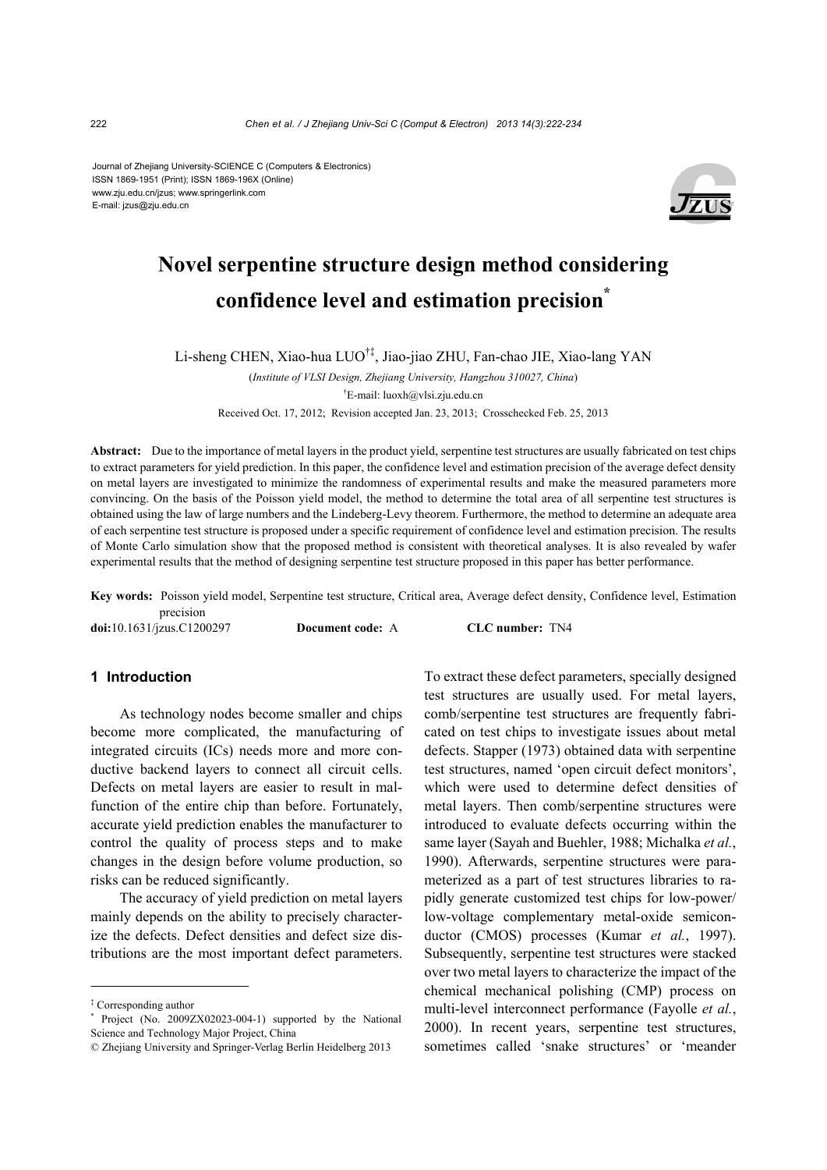Journal of Zhejiang University-SCIENCE C (Computers & Electronics) ISSN 1869-1951 (Print); ISSN 1869-196X (Online) www.zju.edu.cn/jzus; www.springerlink.com E-mail: jzus@zju.edu.cn



# **Novel serpentine structure design method considering confidence level and estimation precision\***

Li-sheng CHEN, Xiao-hua LUO†‡, Jiao-jiao ZHU, Fan-chao JIE, Xiao-lang YAN

(*Institute of VLSI Design, Zhejiang University, Hangzhou 310027, China*) † E-mail: luoxh@vlsi.zju.edu.cn Received Oct. 17, 2012; Revision accepted Jan. 23, 2013; Crosschecked Feb. 25, 2013

**Abstract:** Due to the importance of metal layers in the product yield, serpentine test structures are usually fabricated on test chips to extract parameters for yield prediction. In this paper, the confidence level and estimation precision of the average defect density on metal layers are investigated to minimize the randomness of experimental results and make the measured parameters more convincing. On the basis of the Poisson yield model, the method to determine the total area of all serpentine test structures is obtained using the law of large numbers and the Lindeberg-Levy theorem. Furthermore, the method to determine an adequate area of each serpentine test structure is proposed under a specific requirement of confidence level and estimation precision. The results of Monte Carlo simulation show that the proposed method is consistent with theoretical analyses. It is also revealed by wafer experimental results that the method of designing serpentine test structure proposed in this paper has better performance.

**Key words:** Poisson yield model, Serpentine test structure, Critical area, Average defect density, Confidence level, Estimation precision

**doi:**10.1631/jzus.C1200297 **Document code:** A **CLC number:** TN4

**1 Introduction** 

As technology nodes become smaller and chips become more complicated, the manufacturing of integrated circuits (ICs) needs more and more conductive backend layers to connect all circuit cells. Defects on metal layers are easier to result in malfunction of the entire chip than before. Fortunately, accurate yield prediction enables the manufacturer to control the quality of process steps and to make changes in the design before volume production, so risks can be reduced significantly.

The accuracy of yield prediction on metal layers mainly depends on the ability to precisely characterize the defects. Defect densities and defect size distributions are the most important defect parameters.

To extract these defect parameters, specially designed test structures are usually used. For metal layers, comb/serpentine test structures are frequently fabricated on test chips to investigate issues about metal defects. Stapper (1973) obtained data with serpentine test structures, named 'open circuit defect monitors', which were used to determine defect densities of metal layers. Then comb/serpentine structures were introduced to evaluate defects occurring within the same layer (Sayah and Buehler, 1988; Michalka *et al.*, 1990). Afterwards, serpentine structures were parameterized as a part of test structures libraries to rapidly generate customized test chips for low-power/ low-voltage complementary metal-oxide semiconductor (CMOS) processes (Kumar *et al.*, 1997). Subsequently, serpentine test structures were stacked over two metal layers to characterize the impact of the chemical mechanical polishing (CMP) process on multi-level interconnect performance (Fayolle *et al.*, 2000). In recent years, serpentine test structures, sometimes called 'snake structures' or 'meander

<sup>‡</sup> Corresponding author

<sup>\*</sup> Project (No. 2009ZX02023-004-1) supported by the National Science and Technology Major Project, China

<sup>©</sup> Zhejiang University and Springer-Verlag Berlin Heidelberg 2013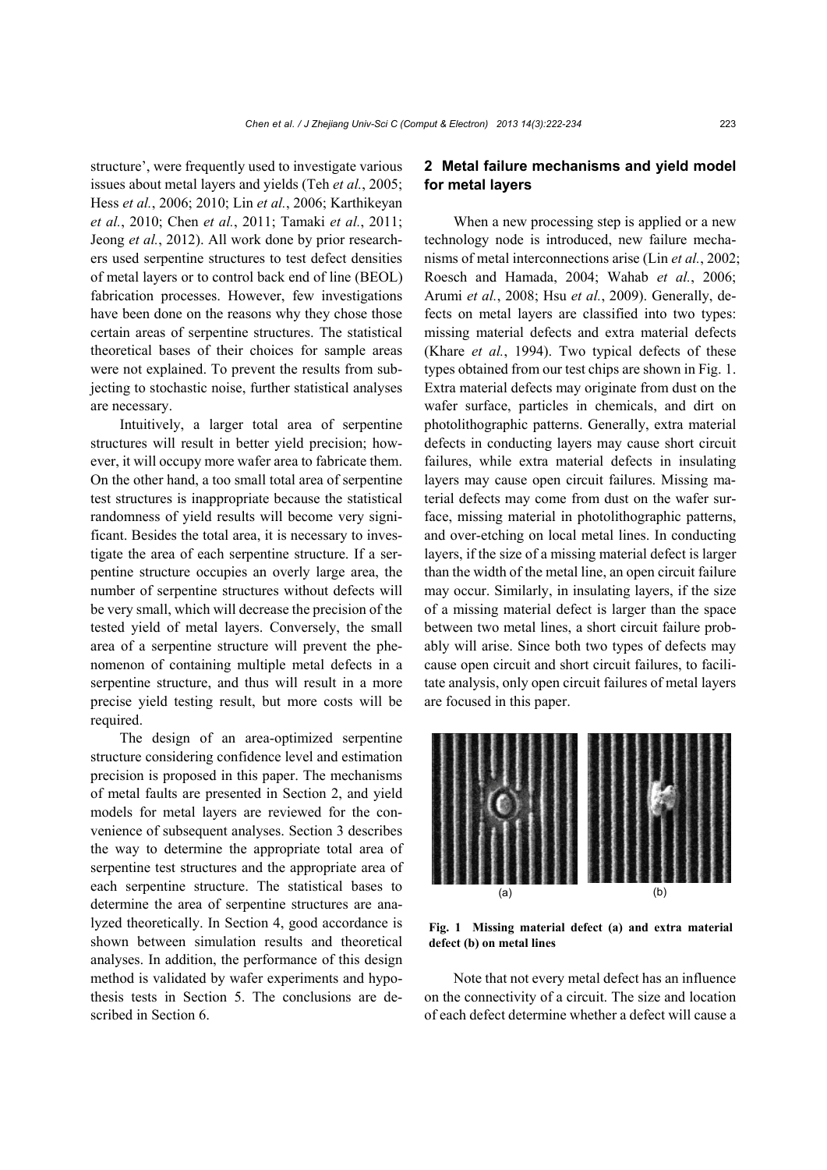structure', were frequently used to investigate various issues about metal layers and yields (Teh *et al.*, 2005; Hess *et al.*, 2006; 2010; Lin *et al.*, 2006; Karthikeyan *et al.*, 2010; Chen *et al.*, 2011; Tamaki *et al.*, 2011; Jeong *et al.*, 2012). All work done by prior researchers used serpentine structures to test defect densities of metal layers or to control back end of line (BEOL) fabrication processes. However, few investigations have been done on the reasons why they chose those certain areas of serpentine structures. The statistical theoretical bases of their choices for sample areas were not explained. To prevent the results from subjecting to stochastic noise, further statistical analyses are necessary.

Intuitively, a larger total area of serpentine structures will result in better yield precision; however, it will occupy more wafer area to fabricate them. On the other hand, a too small total area of serpentine test structures is inappropriate because the statistical randomness of yield results will become very significant. Besides the total area, it is necessary to investigate the area of each serpentine structure. If a serpentine structure occupies an overly large area, the number of serpentine structures without defects will be very small, which will decrease the precision of the tested yield of metal layers. Conversely, the small area of a serpentine structure will prevent the phenomenon of containing multiple metal defects in a serpentine structure, and thus will result in a more precise yield testing result, but more costs will be required.

The design of an area-optimized serpentine structure considering confidence level and estimation precision is proposed in this paper. The mechanisms of metal faults are presented in Section 2, and yield models for metal layers are reviewed for the convenience of subsequent analyses. Section 3 describes the way to determine the appropriate total area of serpentine test structures and the appropriate area of each serpentine structure. The statistical bases to determine the area of serpentine structures are analyzed theoretically. In Section 4, good accordance is shown between simulation results and theoretical analyses. In addition, the performance of this design method is validated by wafer experiments and hypothesis tests in Section 5. The conclusions are described in Section 6.

### **2 Metal failure mechanisms and yield model for metal layers**

When a new processing step is applied or a new technology node is introduced, new failure mechanisms of metal interconnections arise (Lin *et al.*, 2002; Roesch and Hamada, 2004; Wahab *et al.*, 2006; Arumi *et al.*, 2008; Hsu *et al.*, 2009). Generally, defects on metal layers are classified into two types: missing material defects and extra material defects (Khare *et al.*, 1994). Two typical defects of these types obtained from our test chips are shown in Fig. 1. Extra material defects may originate from dust on the wafer surface, particles in chemicals, and dirt on photolithographic patterns. Generally, extra material defects in conducting layers may cause short circuit failures, while extra material defects in insulating layers may cause open circuit failures. Missing material defects may come from dust on the wafer surface, missing material in photolithographic patterns, and over-etching on local metal lines. In conducting layers, if the size of a missing material defect is larger than the width of the metal line, an open circuit failure may occur. Similarly, in insulating layers, if the size of a missing material defect is larger than the space between two metal lines, a short circuit failure probably will arise. Since both two types of defects may cause open circuit and short circuit failures, to facilitate analysis, only open circuit failures of metal layers are focused in this paper.



**Fig. 1 Missing material defect (a) and extra material defect (b) on metal lines** 

Note that not every metal defect has an influence on the connectivity of a circuit. The size and location of each defect determine whether a defect will cause a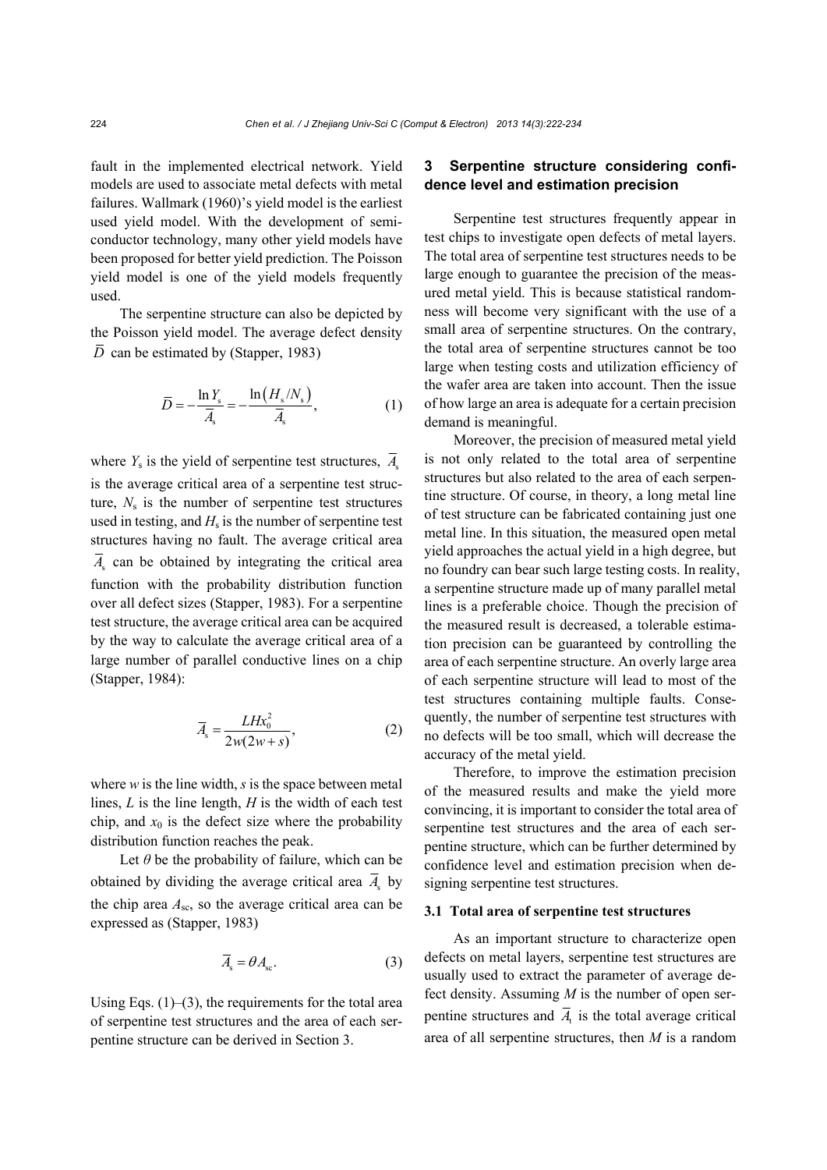fault in the implemented electrical network. Yield models are used to associate metal defects with metal failures. Wallmark (1960)'s yield model is the earliest used yield model. With the development of semiconductor technology, many other yield models have been proposed for better yield prediction. The Poisson yield model is one of the yield models frequently used.

The serpentine structure can also be depicted by the Poisson yield model. The average defect density  $\overline{D}$  can be estimated by (Stapper, 1983)

$$
\overline{D} = -\frac{\ln Y_s}{\overline{A}_s} = -\frac{\ln \left( H_s / N_s \right)}{\overline{A}_s},\tag{1}
$$

where  $Y_s$  is the yield of serpentine test structures,  $\overline{A}_s$ is the average critical area of a serpentine test structure,  $N<sub>s</sub>$  is the number of serpentine test structures used in testing, and  $H<sub>s</sub>$  is the number of serpentine test structures having no fault. The average critical area  $\overline{A}_s$  can be obtained by integrating the critical area function with the probability distribution function over all defect sizes (Stapper, 1983). For a serpentine test structure, the average critical area can be acquired by the way to calculate the average critical area of a large number of parallel conductive lines on a chip (Stapper, 1984):

$$
\overline{A}_{\rm s} = \frac{LHx_0^2}{2w(2w+s)},\tag{2}
$$

where *w* is the line width, *s* is the space between metal lines, *L* is the line length, *H* is the width of each test chip, and  $x_0$  is the defect size where the probability distribution function reaches the peak.

Let  $\theta$  be the probability of failure, which can be obtained by dividing the average critical area  $\overline{A}_s$  by the chip area *A*sc, so the average critical area can be expressed as (Stapper, 1983)

$$
\overline{A}_{\rm s} = \theta A_{\rm sc}.\tag{3}
$$

Using Eqs.  $(1)$ – $(3)$ , the requirements for the total area of serpentine test structures and the area of each serpentine structure can be derived in Section 3.

#### **3 Serpentine structure considering confidence level and estimation precision**

Serpentine test structures frequently appear in test chips to investigate open defects of metal layers. The total area of serpentine test structures needs to be large enough to guarantee the precision of the measured metal yield. This is because statistical randomness will become very significant with the use of a small area of serpentine structures. On the contrary, the total area of serpentine structures cannot be too large when testing costs and utilization efficiency of the wafer area are taken into account. Then the issue of how large an area is adequate for a certain precision demand is meaningful.

Moreover, the precision of measured metal yield is not only related to the total area of serpentine structures but also related to the area of each serpentine structure. Of course, in theory, a long metal line of test structure can be fabricated containing just one metal line. In this situation, the measured open metal yield approaches the actual yield in a high degree, but no foundry can bear such large testing costs. In reality, a serpentine structure made up of many parallel metal lines is a preferable choice. Though the precision of the measured result is decreased, a tolerable estimation precision can be guaranteed by controlling the area of each serpentine structure. An overly large area of each serpentine structure will lead to most of the test structures containing multiple faults. Consequently, the number of serpentine test structures with no defects will be too small, which will decrease the accuracy of the metal yield.

Therefore, to improve the estimation precision of the measured results and make the yield more convincing, it is important to consider the total area of serpentine test structures and the area of each serpentine structure, which can be further determined by confidence level and estimation precision when designing serpentine test structures.

#### **3.1 Total area of serpentine test structures**

As an important structure to characterize open defects on metal layers, serpentine test structures are usually used to extract the parameter of average defect density. Assuming *M* is the number of open serpentine structures and  $\overline{A}_t$  is the total average critical area of all serpentine structures, then *M* is a random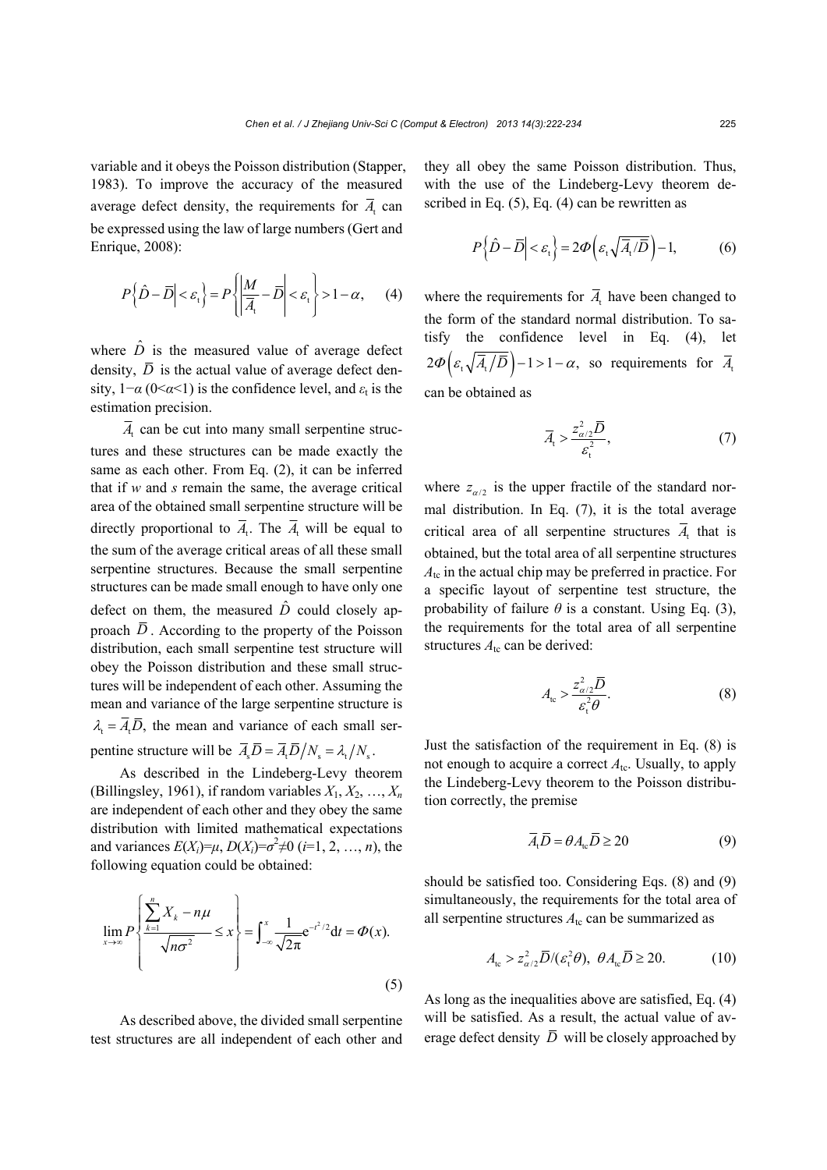variable and it obeys the Poisson distribution (Stapper, 1983). To improve the accuracy of the measured average defect density, the requirements for  $\overline{A}$  can be expressed using the law of large numbers (Gert and Enrique, 2008):

$$
P\left\{\hat{D} - \overline{D}\Big| < \varepsilon_{\mathrm{t}}\right\} = P\left\{\left|\frac{M}{\overline{A}_{\mathrm{t}}} - \overline{D}\Big| < \varepsilon_{\mathrm{t}}\right\} > 1 - \alpha,\qquad(4)
$$

where  $\hat{D}$  is the measured value of average defect density,  $\overline{D}$  is the actual value of average defect density,  $1-\alpha$  (0< $\alpha$ <1) is the confidence level, and  $\varepsilon_t$  is the estimation precision.

 $\overline{A}$  can be cut into many small serpentine structures and these structures can be made exactly the same as each other. From Eq. (2), it can be inferred that if *w* and *s* remain the same, the average critical area of the obtained small serpentine structure will be directly proportional to  $\overline{A}_1$ . The  $\overline{A}_1$  will be equal to the sum of the average critical areas of all these small serpentine structures. Because the small serpentine structures can be made small enough to have only one defect on them, the measured  $\hat{D}$  could closely approach  $\overline{D}$ . According to the property of the Poisson distribution, each small serpentine test structure will obey the Poisson distribution and these small structures will be independent of each other. Assuming the mean and variance of the large serpentine structure is  $\lambda_i = \overline{A}_i \overline{D}$ , the mean and variance of each small serpentine structure will be  $\overline{A}_s \overline{D} = \overline{A}_t \overline{D}/N_s = \lambda_t/N_s$ .

As described in the Lindeberg-Levy theorem (Billingsley, 1961), if random variables  $X_1, X_2, ..., X_n$ are independent of each other and they obey the same distribution with limited mathematical expectations and variances  $E(X_i)=\mu$ ,  $D(X_i)=\sigma^2 \neq 0$  (*i*=1, 2, ..., *n*), the following equation could be obtained:

$$
\lim_{x \to \infty} P\left\{\frac{\sum_{k=1}^{n} X_k - n\mu}{\sqrt{n\sigma^2}} \le x\right\} = \int_{-\infty}^{x} \frac{1}{\sqrt{2\pi}} e^{-t^2/2} dt = \Phi(x).
$$
\n(5)

 As described above, the divided small serpentine test structures are all independent of each other and

they all obey the same Poisson distribution. Thus, with the use of the Lindeberg-Levy theorem described in Eq. (5), Eq. (4) can be rewritten as

$$
P\left\{\hat{D} - \overline{D}\right\} < \varepsilon_{\mathrm{t}}\right\} = 2\Phi\left(\varepsilon_{\mathrm{t}}\sqrt{\overline{A}_{\mathrm{t}}/\overline{D}}\right) - 1,\tag{6}
$$

where the requirements for  $\overline{A}_t$  have been changed to the form of the standard normal distribution. To satisfy the confidence level in Eq. (4), let  $2\Phi\left(\varepsilon\sqrt{\overline{A}_t/\overline{D}}\right) - 1 > 1 - \alpha$ , so requirements for  $\overline{A}_t$ can be obtained as

$$
\overline{A}_t > \frac{z_{\alpha/2}^2 \overline{D}}{\varepsilon_t^2},\tag{7}
$$

where  $z_{\alpha/2}$  is the upper fractile of the standard normal distribution. In Eq. (7), it is the total average critical area of all serpentine structures  $\overline{A}_t$ , that is obtained, but the total area of all serpentine structures  $A_{\text{tc}}$  in the actual chip may be preferred in practice. For a specific layout of serpentine test structure, the probability of failure  $\theta$  is a constant. Using Eq. (3), the requirements for the total area of all serpentine structures  $A_{\text{tc}}$  can be derived:

$$
A_{\rm tc} > \frac{z_{\alpha/2}^2 \overline{D}}{\varepsilon_{\rm t}^2 \theta}.
$$
 (8)

Just the satisfaction of the requirement in Eq. (8) is not enough to acquire a correct  $A_{tc}$ . Usually, to apply the Lindeberg-Levy theorem to the Poisson distribution correctly, the premise

$$
\overline{A}_{\rm t}\overline{D} = \theta A_{\rm tc}\overline{D} \ge 20\tag{9}
$$

should be satisfied too. Considering Eqs. (8) and (9) simultaneously, the requirements for the total area of all serpentine structures  $A_{\text{tc}}$  can be summarized as

$$
A_{\rm lc} > z_{\alpha/2}^2 \overline{D}/(\varepsilon_{\rm t}^2 \theta), \ \theta A_{\rm lc} \overline{D} \ge 20. \tag{10}
$$

As long as the inequalities above are satisfied, Eq. (4) will be satisfied. As a result, the actual value of average defect density  $\overline{D}$  will be closely approached by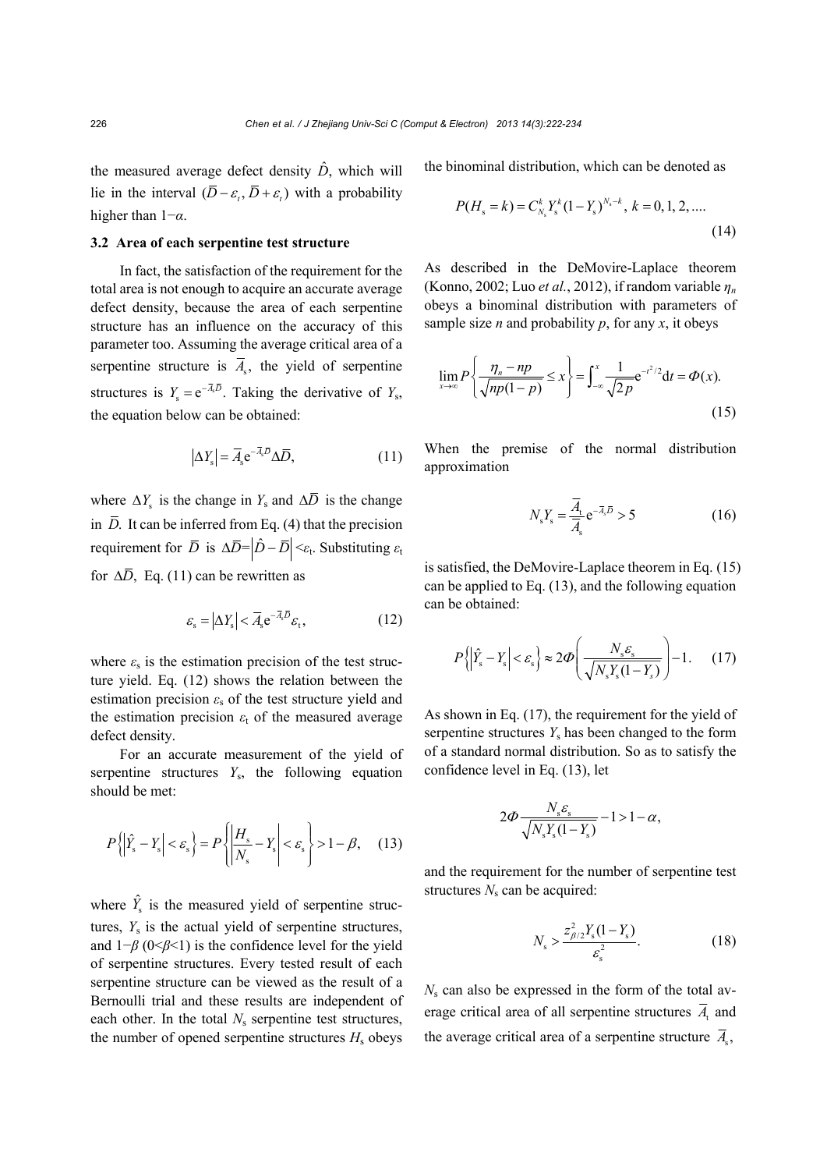the measured average defect density  $\hat{D}$ , which will lie in the interval  $(\overline{D} - \varepsilon_{i}, \overline{D} + \varepsilon_{i})$  with a probability higher than 1−*α*.

#### **3.2 Area of each serpentine test structure**

In fact, the satisfaction of the requirement for the total area is not enough to acquire an accurate average defect density, because the area of each serpentine structure has an influence on the accuracy of this parameter too. Assuming the average critical area of a serpentine structure is  $\overline{A}_{s}$ , the yield of serpentine structures is  $Y_s = e^{-A_s \overline{D}}$ . Taking the derivative of  $Y_s$ , the equation below can be obtained:

$$
\left|\Delta Y_{\rm s}\right| = \overline{A}_{\rm s} e^{-\overline{A}_{\rm s}\overline{D}} \Delta \overline{D},\tag{11}
$$

where  $\Delta Y_s$  is the change in  $Y_s$  and  $\Delta \overline{D}$  is the change in  $\overline{D}$ . It can be inferred from Eq. (4) that the precision requirement for  $\overline{D}$  is  $\Delta \overline{D} = |\hat{D} - \overline{D}| \ll_{t}$ . Substituting  $\varepsilon_t$ for  $\Delta\overline{D}$ , Eq. (11) can be rewritten as

$$
\varepsilon_{\rm s} = |\Delta Y_{\rm s}| < \overline{A}_{\rm s} \mathrm{e}^{-\overline{A}_{\rm s} \overline{D}} \varepsilon_{\rm t},\tag{12}
$$

where  $\varepsilon$ <sub>s</sub> is the estimation precision of the test structure yield. Eq. (12) shows the relation between the estimation precision *ε*s of the test structure yield and the estimation precision  $\varepsilon_t$  of the measured average defect density.

For an accurate measurement of the yield of serpentine structures *Y*s, the following equation should be met:

$$
P\left\{ \left| \hat{Y}_s - Y_s \right| < \varepsilon_s \right\} = P\left\{ \left| \frac{H_s}{N_s} - Y_s \right| < \varepsilon_s \right\} > 1 - \beta, \quad (13)
$$

where  $\hat{Y}_s$  is the measured yield of serpentine structures,  $Y_s$  is the actual yield of serpentine structures, and 1−*β* (0<*β*<1) is the confidence level for the yield of serpentine structures. Every tested result of each serpentine structure can be viewed as the result of a Bernoulli trial and these results are independent of each other. In the total  $N<sub>s</sub>$  serpentine test structures, the number of opened serpentine structures  $H_s$  obeys

the binominal distribution, which can be denoted as

$$
P(H_s = k) = C_{N_s}^k Y_s^k (1 - Y_s)^{N_s - k}, \ k = 0, 1, 2, ....
$$
\n(14)

As described in the DeMovire-Laplace theorem (Konno, 2002; Luo *et al.*, 2012), if random variable *η<sup>n</sup>* obeys a binominal distribution with parameters of sample size *n* and probability *p*, for any *x*, it obeys

$$
\lim_{x \to \infty} P\left\{\frac{\eta_n - np}{\sqrt{np(1-p)}} \le x\right\} = \int_{-\infty}^x \frac{1}{\sqrt{2p}} e^{-t^2/2} dt = \Phi(x).
$$
\n(15)

When the premise of the normal distribution approximation

$$
N_{\rm s}Y_{\rm s} = \frac{\overline{A}_{\rm t}}{\overline{A}_{\rm s}} e^{-\overline{A}_{\rm s}\overline{D}} > 5\tag{16}
$$

is satisfied, the DeMovire-Laplace theorem in Eq. (15) can be applied to Eq. (13), and the following equation can be obtained:

$$
P\left\{ \left| \hat{Y}_s - Y_s \right| < \varepsilon_s \right\} \approx 2\Phi \left( \frac{N_s \varepsilon_s}{\sqrt{N_s Y_s (1 - Y_s)}} \right) - 1. \tag{17}
$$

As shown in Eq. (17), the requirement for the yield of serpentine structures  $Y_s$  has been changed to the form of a standard normal distribution. So as to satisfy the confidence level in Eq. (13), let

$$
2\Phi \frac{N_s \varepsilon_s}{\sqrt{N_s Y_s (1 - Y_s)}} - 1 > 1 - \alpha,
$$

and the requirement for the number of serpentine test structures  $N<sub>s</sub>$  can be acquired:

$$
N_{s} > \frac{z_{\beta/2}^{2} Y_{s} (1 - Y_{s})}{\varepsilon_{s}^{2}}.
$$
 (18)

 $N<sub>s</sub>$  can also be expressed in the form of the total average critical area of all serpentine structures  $\overline{A}_t$  and the average critical area of a serpentine structure  $\overline{A}_{s}$ ,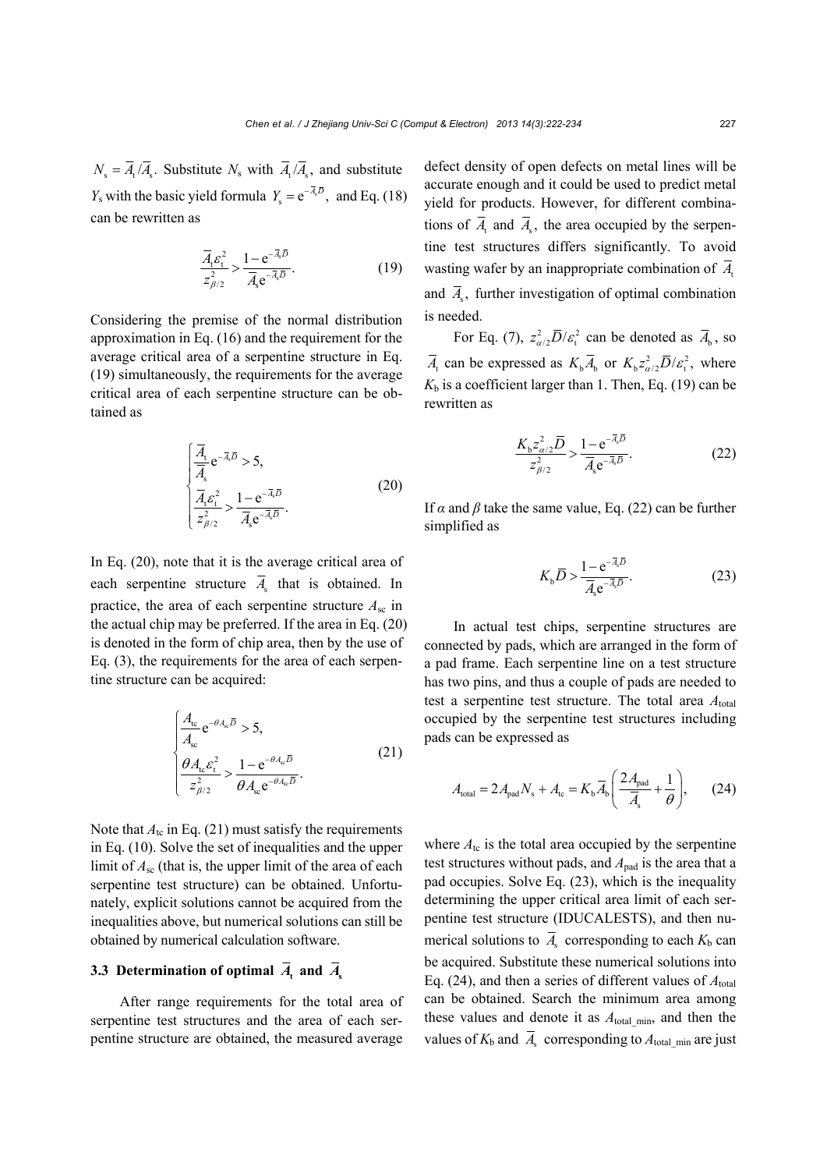$N_s = \overline{A}_t / \overline{A}_s$ . Substitute  $N_s$  with  $\overline{A}_t / \overline{A}_s$ , and substitute  $Y_s$  with the basic yield formula  $Y_s = e^{-\overline{A_s} \overline{D}}$ , and Eq. (18) can be rewritten as

$$
\frac{\overline{A}_t \varepsilon_t^2}{z_{\beta/2}^2} > \frac{1 - e^{-\overline{A}_s \overline{D}}}{\overline{A}_s e^{-\overline{A}_s \overline{D}}}.
$$
\n(19)

Considering the premise of the normal distribution approximation in Eq. (16) and the requirement for the average critical area of a serpentine structure in Eq. (19) simultaneously, the requirements for the average critical area of each serpentine structure can be obtained as

$$
\begin{cases}\n\frac{\overline{A}_t}{\overline{A}_s} e^{-\overline{A}_s \overline{D}} > 5, \\
\frac{\overline{A}_t \varepsilon_t^2}{z_{\beta/2}^2} > \frac{1 - e^{-\overline{A}_s \overline{D}}}{\overline{A}_s e^{-\overline{A}_s \overline{D}}}.\n\end{cases} \tag{20}
$$

In Eq. (20), note that it is the average critical area of each serpentine structure  $\overline{A}_s$  that is obtained. In practice, the area of each serpentine structure  $A_{\rm sc}$  in the actual chip may be preferred. If the area in Eq. (20) is denoted in the form of chip area, then by the use of Eq. (3), the requirements for the area of each serpentine structure can be acquired:

$$
\begin{cases}\n\frac{A_{\text{tc}}}{A_{\text{sc}}} e^{-\theta A_{\text{sc}} \bar{D}} > 5, \\
\frac{\theta A_{\text{tc}} \varepsilon_{\text{t}}^2}{z_{\beta/2}^2} > \frac{1 - e^{-\theta A_{\text{sc}} \bar{D}}}{\theta A_{\text{sc}} e^{-\theta A_{\text{sc}} \bar{D}}}.\n\end{cases} \tag{21}
$$

Note that  $A_{\text{tc}}$  in Eq. (21) must satisfy the requirements in Eq. (10). Solve the set of inequalities and the upper limit of  $A_{\rm sc}$  (that is, the upper limit of the area of each serpentine test structure) can be obtained. Unfortunately, explicit solutions cannot be acquired from the inequalities above, but numerical solutions can still be obtained by numerical calculation software.

#### **3.3 Determination of optimal**  $\overline{A}_t$  **and**  $\overline{A}_s$

After range requirements for the total area of serpentine test structures and the area of each serpentine structure are obtained, the measured average

defect density of open defects on metal lines will be accurate enough and it could be used to predict metal yield for products. However, for different combinations of  $\overline{A}_t$  and  $\overline{A}_s$ , the area occupied by the serpentine test structures differs significantly. To avoid wasting wafer by an inappropriate combination of  $\overline{A}_t$ and  $\overline{A}_s$ , further investigation of optimal combination is needed.

For Eq. (7),  $z_{\alpha/2}^2 \bar{D}/\varepsilon_t^2$  can be denoted as  $\bar{A}_b$ , so  $\overline{A}_t$  can be expressed as  $K_{\rm b} \overline{A}_{\rm b}$  or  $K_{\rm b} z_{\alpha/2}^2 \overline{D}/\varepsilon_t^2$ , where  $K<sub>b</sub>$  is a coefficient larger than 1. Then, Eq. (19) can be rewritten as

$$
\frac{K_{\rm b}z_{\alpha/2}^2 \bar{D}}{z_{\beta/2}^2} > \frac{1 - e^{-\bar{A}_{\rm s}\bar{D}}}{\bar{A}_{\rm s}e^{-\bar{A}_{\rm s}\bar{D}}}.
$$
(22)

If  $\alpha$  and  $\beta$  take the same value, Eq. (22) can be further simplified as

$$
K_{\mathrm{b}}\overline{D} > \frac{1 - \mathrm{e}^{-\overline{A}_{\mathrm{b}}\overline{D}}}{\overline{A}_{\mathrm{s}}\mathrm{e}^{-\overline{A}_{\mathrm{s}}\overline{D}}}.
$$
 (23)

In actual test chips, serpentine structures are connected by pads, which are arranged in the form of a pad frame. Each serpentine line on a test structure has two pins, and thus a couple of pads are needed to test a serpentine test structure. The total area  $A_{total}$ occupied by the serpentine test structures including pads can be expressed as

$$
A_{\text{total}} = 2A_{\text{pad}}N_{\text{s}} + A_{\text{tc}} = K_{\text{b}}\overline{A}_{\text{b}} \left( \frac{2A_{\text{pad}}}{\overline{A}_{\text{s}}} + \frac{1}{\theta} \right), \qquad (24)
$$

where  $A_{\text{tc}}$  is the total area occupied by the serpentine test structures without pads, and *A*pad is the area that a pad occupies. Solve Eq. (23), which is the inequality determining the upper critical area limit of each serpentine test structure (IDUCALESTS), and then numerical solutions to  $\overline{A}_s$  corresponding to each  $K_b$  can be acquired. Substitute these numerical solutions into Eq. (24), and then a series of different values of  $A_{total}$ can be obtained. Search the minimum area among these values and denote it as  $A_{total,min}$ , and then the values of  $K_b$  and  $\overline{A}_s$  corresponding to  $A_{total\_min}$  are just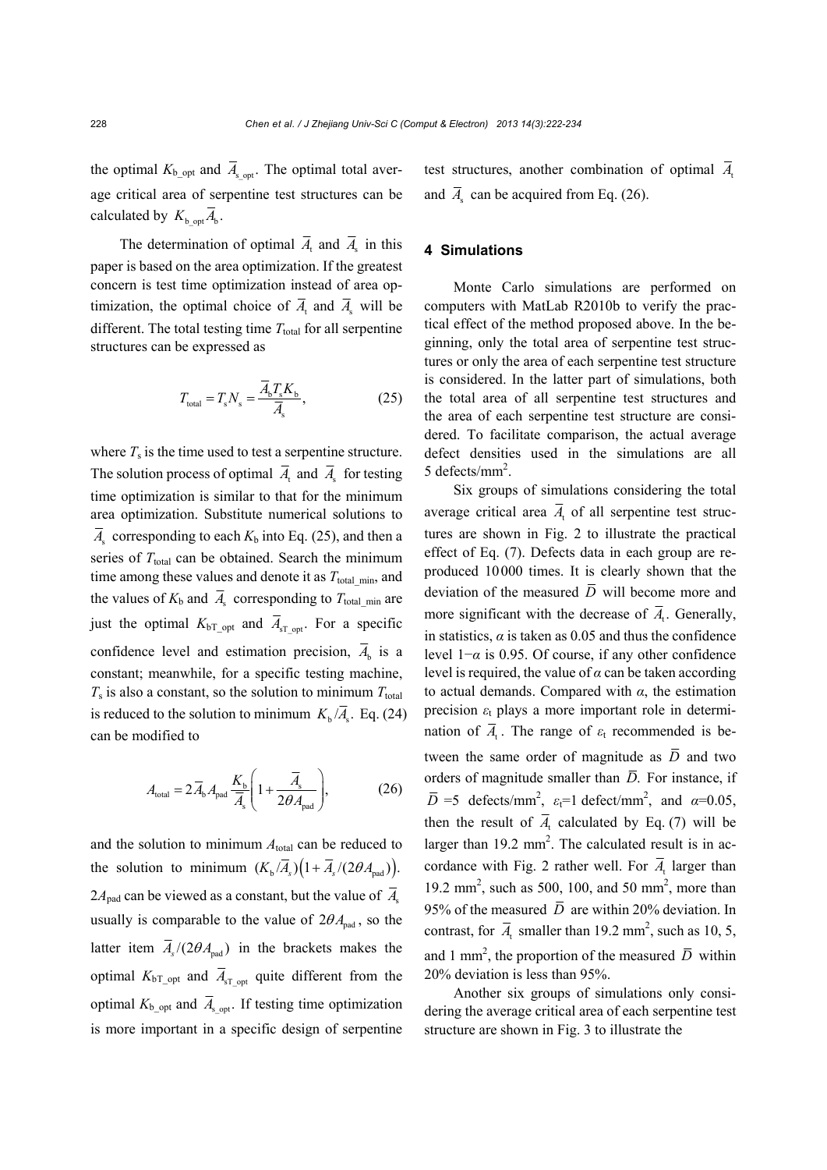the optimal  $K_{b\_opt}$  and  $\overline{A}_{s\_opt}$ . The optimal total average critical area of serpentine test structures can be calculated by  $K_{\text{b} \text{ out}}\overline{A}_{\text{b}}$ .

The determination of optimal  $\overline{A}_t$  and  $\overline{A}_s$  in this paper is based on the area optimization. If the greatest concern is test time optimization instead of area optimization, the optimal choice of  $\overline{A}_t$  and  $\overline{A}_s$  will be different. The total testing time  $T_{total}$  for all serpentine structures can be expressed as

$$
T_{\text{total}} = T_{\text{s}} N_{\text{s}} = \frac{\overline{A}_{\text{b}} T_{\text{s}} K_{\text{b}}}{\overline{A}_{\text{s}}},\tag{25}
$$

where  $T_s$  is the time used to test a serpentine structure. The solution process of optimal  $\overline{A}_t$  and  $\overline{A}_s$  for testing time optimization is similar to that for the minimum area optimization. Substitute numerical solutions to  $\overline{A}_s$  corresponding to each  $K_b$  into Eq. (25), and then a series of  $T_{total}$  can be obtained. Search the minimum time among these values and denote it as  $T_{total,min}$ , and the values of  $K_b$  and  $\overline{A}_s$  corresponding to  $T_{total,min}$  are just the optimal  $K_{bT\_opt}$  and  $\overline{A}_{sT opt}$ . For a specific confidence level and estimation precision,  $\overline{A}_{b}$  is a constant; meanwhile, for a specific testing machine,  $T<sub>s</sub>$  is also a constant, so the solution to minimum  $T<sub>total</sub>$ is reduced to the solution to minimum  $K<sub>b</sub>/A<sub>s</sub>$ . Eq. (24) can be modified to

$$
A_{\text{total}} = 2\overline{A}_{\text{b}} A_{\text{pad}} \frac{K_{\text{b}}}{\overline{A}_{\text{s}}} \left( 1 + \frac{\overline{A}_{\text{s}}}{2\theta A_{\text{pad}}} \right),\tag{26}
$$

and the solution to minimum  $A_{total}$  can be reduced to the solution to minimum  $(K_b/\overline{A}_s)(1 + \overline{A}_s/(2\theta A_{pad})).$  $2A_{\text{pad}}$  can be viewed as a constant, but the value of  $\overline{A}_{\text{s}}$ usually is comparable to the value of  $2\theta A_{\text{nad}}$ , so the latter item  $\overline{A}_{s}/(2 \theta A_{\text{nad}})$  in the brackets makes the optimal  $K_{bT\_opt}$  and  $\overline{A}_{sT\_opt}$  quite different from the optimal  $K_{b\_opt}$  and  $\overline{A}_{s\_opt}$ . If testing time optimization is more important in a specific design of serpentine test structures, another combination of optimal  $\overline{A}_t$ and  $\overline{A}_s$  can be acquired from Eq. (26).

#### **4 Simulations**

Monte Carlo simulations are performed on computers with MatLab R2010b to verify the practical effect of the method proposed above. In the beginning, only the total area of serpentine test structures or only the area of each serpentine test structure is considered. In the latter part of simulations, both the total area of all serpentine test structures and the area of each serpentine test structure are considered. To facilitate comparison, the actual average defect densities used in the simulations are all 5 defects/mm2 .

Six groups of simulations considering the total average critical area  $\overline{A}_t$  of all serpentine test structures are shown in Fig. 2 to illustrate the practical effect of Eq. (7). Defects data in each group are reproduced 10000 times. It is clearly shown that the deviation of the measured  $\overline{D}$  will become more and more significant with the decrease of  $\overline{A}$ . Generally, in statistics,  $\alpha$  is taken as 0.05 and thus the confidence level 1−*α* is 0.95. Of course, if any other confidence level is required, the value of  $\alpha$  can be taken according to actual demands. Compared with *α*, the estimation precision *ε*t plays a more important role in determination of  $\overline{A}_t$ . The range of  $\varepsilon_t$  recommended is between the same order of magnitude as  $\overline{D}$  and two orders of magnitude smaller than  $\overline{D}$ . For instance, if  $\overline{D}$  =5 defects/mm<sup>2</sup>,  $\varepsilon$ <sub>t</sub>=1 defect/mm<sup>2</sup>, and  $\alpha$ =0.05, then the result of  $\overline{A}_t$  calculated by Eq. (7) will be larger than  $19.2 \text{ mm}^2$ . The calculated result is in accordance with Fig. 2 rather well. For  $\overline{A}_t$  larger than 19.2 mm<sup>2</sup>, such as 500, 100, and 50 mm<sup>2</sup>, more than 95% of the measured  $\overline{D}$  are within 20% deviation. In contrast, for  $\overline{A}_t$  smaller than 19.2 mm<sup>2</sup>, such as 10, 5, and 1 mm<sup>2</sup>, the proportion of the measured  $\overline{D}$  within 20% deviation is less than 95%.

Another six groups of simulations only considering the average critical area of each serpentine test structure are shown in Fig. 3 to illustrate the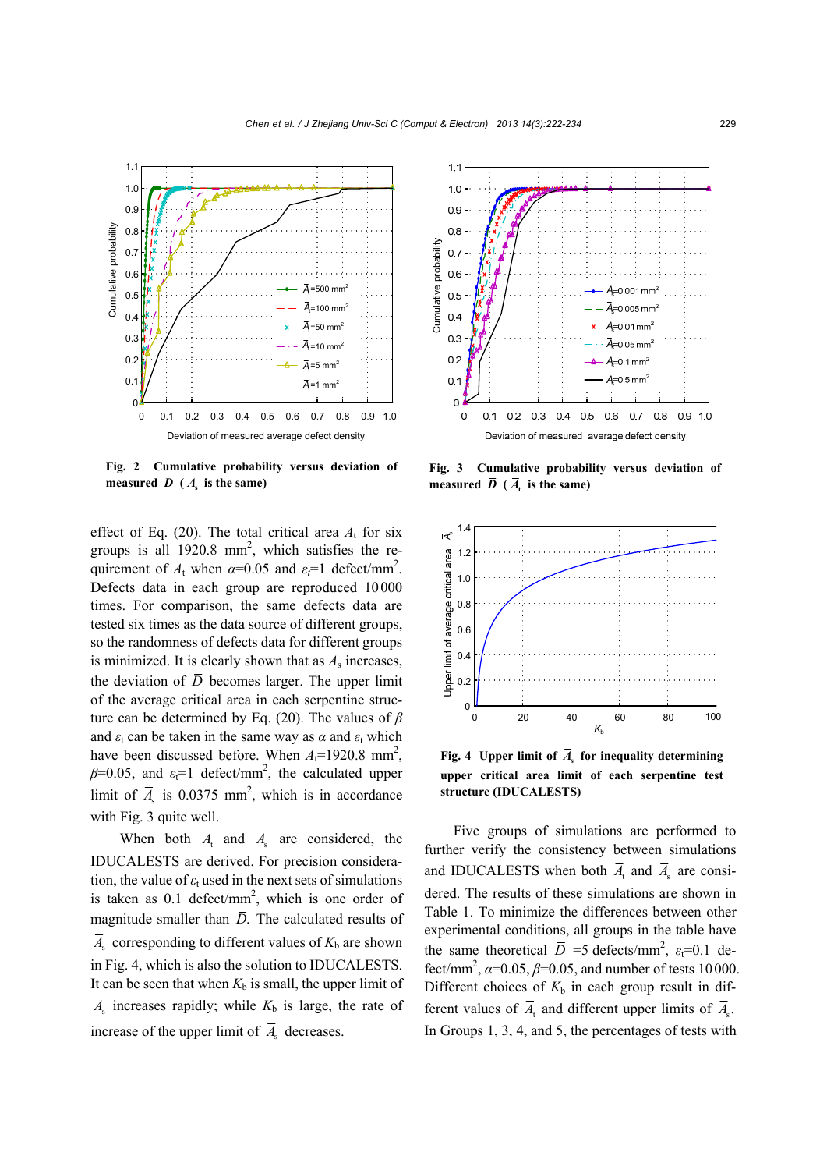

**Fig. 2 Cumulative probability versus deviation of measured**  $\overline{D}$  ( $\overline{A}$ , is the same)

effect of Eq. (20). The total critical area  $A_t$  for six groups is all  $1920.8$  mm<sup>2</sup>, which satisfies the requirement of  $A_t$  when  $\alpha = 0.05$  and  $\varepsilon_t = 1$  defect/mm<sup>2</sup>. Defects data in each group are reproduced 10000 times. For comparison, the same defects data are tested six times as the data source of different groups, so the randomness of defects data for different groups is minimized. It is clearly shown that as  $A_s$  increases, the deviation of  $\overline{D}$  becomes larger. The upper limit of the average critical area in each serpentine structure can be determined by Eq. (20). The values of *β* and  $\varepsilon_t$  can be taken in the same way as  $\alpha$  and  $\varepsilon_t$  which have been discussed before. When  $A<sub>t</sub>=1920.8$  mm<sup>2</sup>,  $\beta$ =0.05, and  $\varepsilon$ <sub>t</sub>=1 defect/mm<sup>2</sup>, the calculated upper limit of  $\overline{A}_s$  is 0.0375 mm<sup>2</sup>, which is in accordance with Fig. 3 quite well.

When both  $\overline{A}_t$  and  $\overline{A}_s$  are considered, the IDUCALESTS are derived. For precision consideration, the value of  $\varepsilon_t$  used in the next sets of simulations is taken as  $0.1$  defect/mm<sup>2</sup>, which is one order of magnitude smaller than  $\overline{D}$ . The calculated results of  $\overline{A}_s$  corresponding to different values of  $K_b$  are shown in Fig. 4, which is also the solution to IDUCALESTS. It can be seen that when  $K_b$  is small, the upper limit of  $\overline{A}_s$  increases rapidly; while  $K_b$  is large, the rate of increase of the upper limit of  $\overline{A}_s$  decreases.



**Fig. 3 Cumulative probability versus deviation of measured**  $\overline{D}$  ( $\overline{A}$ , is the same)



**Fig. 4** Upper limit of  $\overline{A}$  for inequality determining **upper critical area limit of each serpentine test structure (IDUCALESTS)** 

Five groups of simulations are performed to further verify the consistency between simulations and IDUCALESTS when both  $\overline{A}_t$  and  $\overline{A}_s$  are considered. The results of these simulations are shown in Table 1. To minimize the differences between other experimental conditions, all groups in the table have the same theoretical  $\overline{D}$  =5 defects/mm<sup>2</sup>,  $\varepsilon$ <sub>t</sub>=0.1 defect/mm<sup>2</sup>,  $\alpha$ =0.05,  $\beta$ =0.05, and number of tests 10000. Different choices of  $K_b$  in each group result in different values of  $\overline{A}_t$  and different upper limits of  $\overline{A}_s$ . In Groups 1, 3, 4, and 5, the percentages of tests with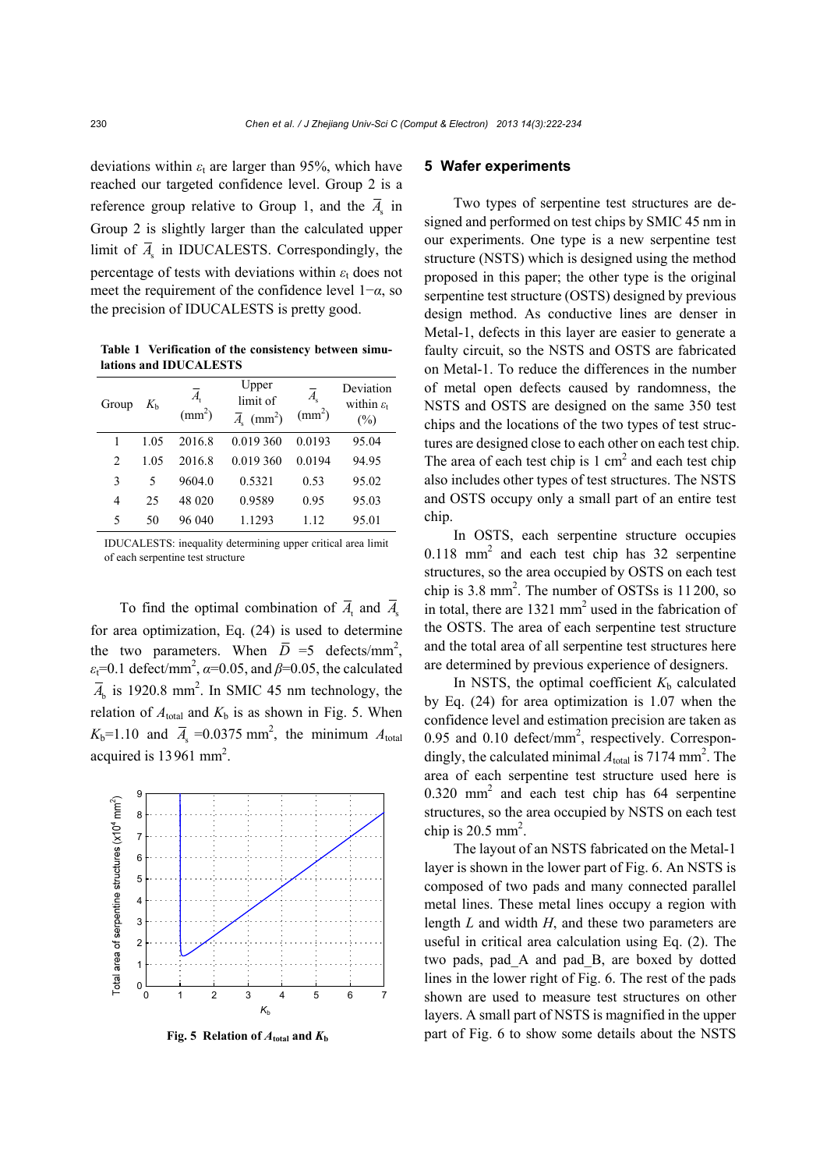deviations within  $\varepsilon_t$  are larger than 95%, which have reached our targeted confidence level. Group 2 is a reference group relative to Group 1, and the  $\overline{A}$  in Group 2 is slightly larger than the calculated upper limit of  $\overline{A}_{s}$  in IDUCALESTS. Correspondingly, the percentage of tests with deviations within  $\varepsilon_t$  does not meet the requirement of the confidence level 1−*α*, so the precision of IDUCALESTS is pretty good.

**Table 1 Verification of the consistency between simulations and IDUCALESTS** 

| Group          | $K_{h}$ | $\overline{A}_{t}$<br>$\text{mm}^2$ | Upper<br>limit of<br>$\overline{A}_{s}$ (mm <sup>2</sup> ) | $\overline{A}_{\rm s}$<br>$\text{m}^2$ | Deviation<br>within $\varepsilon$<br>$(\%)$ |
|----------------|---------|-------------------------------------|------------------------------------------------------------|----------------------------------------|---------------------------------------------|
|                | 105     | 2016.8                              | 0.019360                                                   | 0.0193                                 | 95.04                                       |
| $\overline{c}$ | 1.05    | 2016.8                              | 0.019360                                                   | 0.0194                                 | 94.95                                       |
| 3              | 5       | 9604.0                              | 0.5321                                                     | 0.53                                   | 95.02                                       |
| 4              | 25      | 48 020                              | 0.9589                                                     | 0.95                                   | 95.03                                       |
| 5              | 50      | 96 040                              | 1.1293                                                     | 1.12                                   | 95.01                                       |

IDUCALESTS: inequality determining upper critical area limit of each serpentine test structure

To find the optimal combination of  $\overline{A}_t$  and  $\overline{A}_s$ for area optimization, Eq. (24) is used to determine the two parameters. When  $\overline{D} = 5$  defects/mm<sup>2</sup>,  $\varepsilon_t$ =0.1 defect/mm<sup>2</sup>,  $\alpha$ =0.05, and  $\beta$ =0.05, the calculated  $\overline{A}_b$  is 1920.8 mm<sup>2</sup>. In SMIC 45 nm technology, the relation of  $A_{total}$  and  $K_b$  is as shown in Fig. 5. When  $K_b$ =1.10 and  $\overline{A}_s$  =0.0375 mm<sup>2</sup>, the minimum  $A_{total}$ acquired is  $13961$  mm<sup>2</sup>.



**Fig. 5 Relation of**  $A$ **<sub>total</sub> and**  $K$ **<sup>b</sup>** 

#### **5 Wafer experiments**

Two types of serpentine test structures are designed and performed on test chips by SMIC 45 nm in our experiments. One type is a new serpentine test structure (NSTS) which is designed using the method proposed in this paper; the other type is the original serpentine test structure (OSTS) designed by previous design method. As conductive lines are denser in Metal-1, defects in this layer are easier to generate a faulty circuit, so the NSTS and OSTS are fabricated on Metal-1. To reduce the differences in the number of metal open defects caused by randomness, the NSTS and OSTS are designed on the same 350 test chips and the locations of the two types of test structures are designed close to each other on each test chip. The area of each test chip is  $1 \text{ cm}^2$  and each test chip also includes other types of test structures. The NSTS and OSTS occupy only a small part of an entire test chip.

In OSTS, each serpentine structure occupies  $0.118$  mm<sup>2</sup> and each test chip has 32 serpentine structures, so the area occupied by OSTS on each test chip is  $3.8 \text{ mm}^2$ . The number of OSTSs is  $11200$ , so in total, there are  $1321$  mm<sup>2</sup> used in the fabrication of the OSTS. The area of each serpentine test structure and the total area of all serpentine test structures here are determined by previous experience of designers.

In NSTS, the optimal coefficient  $K<sub>b</sub>$  calculated by Eq. (24) for area optimization is 1.07 when the confidence level and estimation precision are taken as 0.95 and 0.10 defect/ $mm<sup>2</sup>$ , respectively. Correspondingly, the calculated minimal  $A_{\text{total}}$  is 7174 mm<sup>2</sup>. The area of each serpentine test structure used here is 0.320 mm<sup>2</sup> and each test chip has 64 serpentine structures, so the area occupied by NSTS on each test chip is  $20.5 \text{ mm}^2$ .

The layout of an NSTS fabricated on the Metal-1 layer is shown in the lower part of Fig. 6. An NSTS is composed of two pads and many connected parallel metal lines. These metal lines occupy a region with length *L* and width *H*, and these two parameters are useful in critical area calculation using Eq. (2). The two pads, pad\_A and pad\_B, are boxed by dotted lines in the lower right of Fig. 6. The rest of the pads shown are used to measure test structures on other layers. A small part of NSTS is magnified in the upper part of Fig. 6 to show some details about the NSTS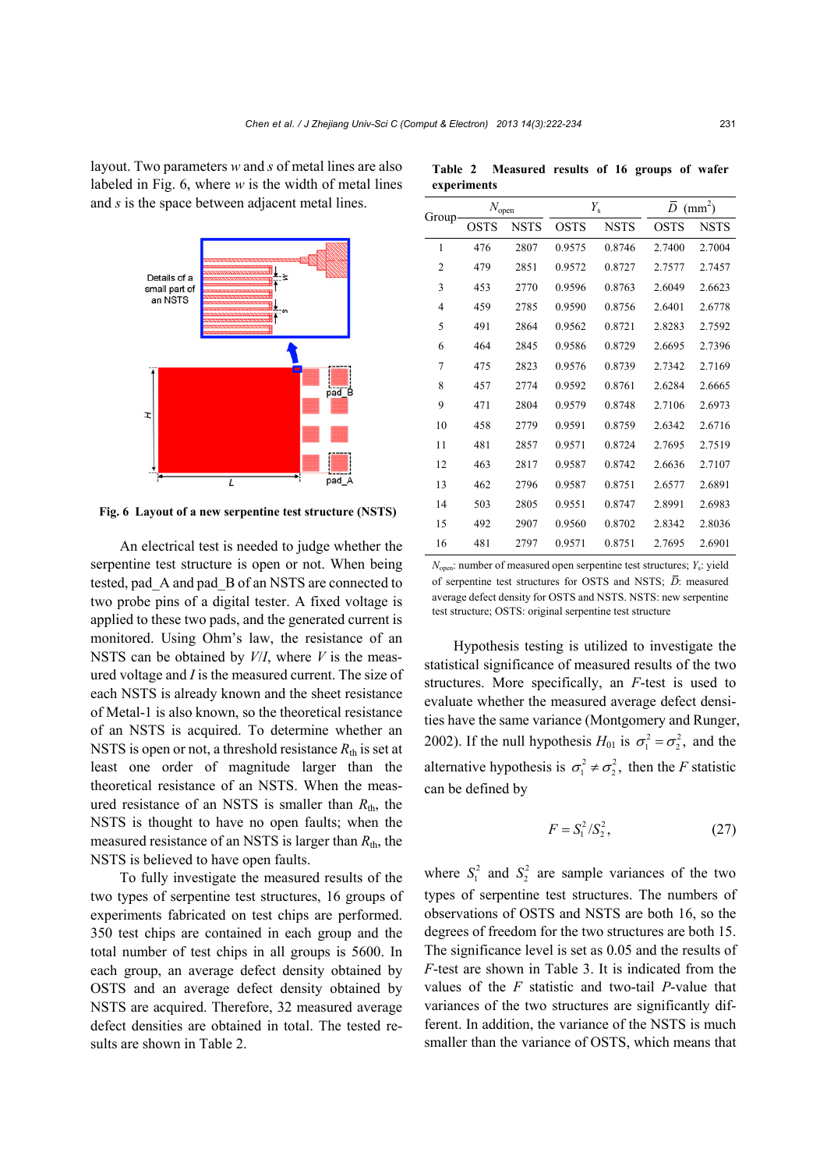layout. Two parameters *w* and *s* of metal lines are also labeled in Fig. 6, where *w* is the width of metal lines and *s* is the space between adjacent metal lines.



**Fig. 6 Layout of a new serpentine test structure (NSTS)**

An electrical test is needed to judge whether the serpentine test structure is open or not. When being tested, pad\_A and pad\_B of an NSTS are connected to two probe pins of a digital tester. A fixed voltage is applied to these two pads, and the generated current is monitored. Using Ohm's law, the resistance of an NSTS can be obtained by *V*/*I*, where *V* is the measured voltage and *I* is the measured current. The size of each NSTS is already known and the sheet resistance of Metal-1 is also known, so the theoretical resistance of an NSTS is acquired. To determine whether an NSTS is open or not, a threshold resistance  $R_{th}$  is set at least one order of magnitude larger than the theoretical resistance of an NSTS. When the measured resistance of an NSTS is smaller than  $R_{th}$ , the NSTS is thought to have no open faults; when the measured resistance of an NSTS is larger than  $R_{th}$ , the NSTS is believed to have open faults.

To fully investigate the measured results of the two types of serpentine test structures, 16 groups of experiments fabricated on test chips are performed. 350 test chips are contained in each group and the total number of test chips in all groups is 5600. In each group, an average defect density obtained by OSTS and an average defect density obtained by NSTS are acquired. Therefore, 32 measured average defect densities are obtained in total. The tested results are shown in Table 2.

|                | $N_{\rm open}$ |      | $Y_{\rm s}$ |             | (mm <sup>2</sup> )<br>D |             |
|----------------|----------------|------|-------------|-------------|-------------------------|-------------|
| Group          | OSTS           | NSTS | OSTS        | <b>NSTS</b> | OSTS                    | <b>NSTS</b> |
| $\mathbf{1}$   | 476            | 2807 | 0.9575      | 0.8746      | 2.7400                  | 2.7004      |
| $\overline{2}$ | 479            | 2851 | 0.9572      | 0.8727      | 2.7577                  | 2.7457      |
| 3              | 453            | 2770 | 0.9596      | 0.8763      | 2.6049                  | 2.6623      |
| $\overline{4}$ | 459            | 2785 | 0.9590      | 0.8756      | 2.6401                  | 2.6778      |
| 5              | 491            | 2864 | 0.9562      | 0.8721      | 2.8283                  | 2.7592      |
| 6              | 464            | 2845 | 0.9586      | 0.8729      | 2.6695                  | 2.7396      |
| 7              | 475            | 2823 | 0.9576      | 0.8739      | 2.7342                  | 2.7169      |
| 8              | 457            | 2774 | 0.9592      | 0.8761      | 2.6284                  | 2.6665      |
| 9              | 471            | 2804 | 0.9579      | 0.8748      | 2.7106                  | 2.6973      |
| 10             | 458            | 2779 | 0.9591      | 0.8759      | 2.6342                  | 2.6716      |
| 11             | 481            | 2857 | 0.9571      | 0.8724      | 2.7695                  | 2.7519      |
| 12             | 463            | 2817 | 0.9587      | 0.8742      | 2.6636                  | 2.7107      |
| 13             | 462            | 2796 | 0.9587      | 0.8751      | 2.6577                  | 2.6891      |
| 14             | 503            | 2805 | 0.9551      | 0.8747      | 2.8991                  | 2.6983      |
| 15             | 492            | 2907 | 0.9560      | 0.8702      | 2.8342                  | 2.8036      |
| 16             | 481            | 2797 | 0.9571      | 0.8751      | 2.7695                  | 2.6901      |

**Table 2 Measured results of 16 groups of wafer experiments** 

 $N<sub>open</sub>$ : number of measured open serpentine test structures;  $Y_s$ : yield of serpentine test structures for OSTS and NSTS; *D*: measured average defect density for OSTS and NSTS. NSTS: new serpentine test structure; OSTS: original serpentine test structure

Hypothesis testing is utilized to investigate the statistical significance of measured results of the two structures. More specifically, an *F*-test is used to evaluate whether the measured average defect densities have the same variance (Montgomery and Runger, 2002). If the null hypothesis  $H_{01}$  is  $\sigma_1^2 = \sigma_2^2$ , and the alternative hypothesis is  $\sigma_1^2 \neq \sigma_2^2$ , then the *F* statistic can be defined by

$$
F = S_1^2 / S_2^2, \tag{27}
$$

where  $S_1^2$  and  $S_2^2$  are sample variances of the two types of serpentine test structures. The numbers of observations of OSTS and NSTS are both 16, so the degrees of freedom for the two structures are both 15. The significance level is set as 0.05 and the results of *F*-test are shown in Table 3. It is indicated from the values of the *F* statistic and two-tail *P*-value that variances of the two structures are significantly different. In addition, the variance of the NSTS is much smaller than the variance of OSTS, which means that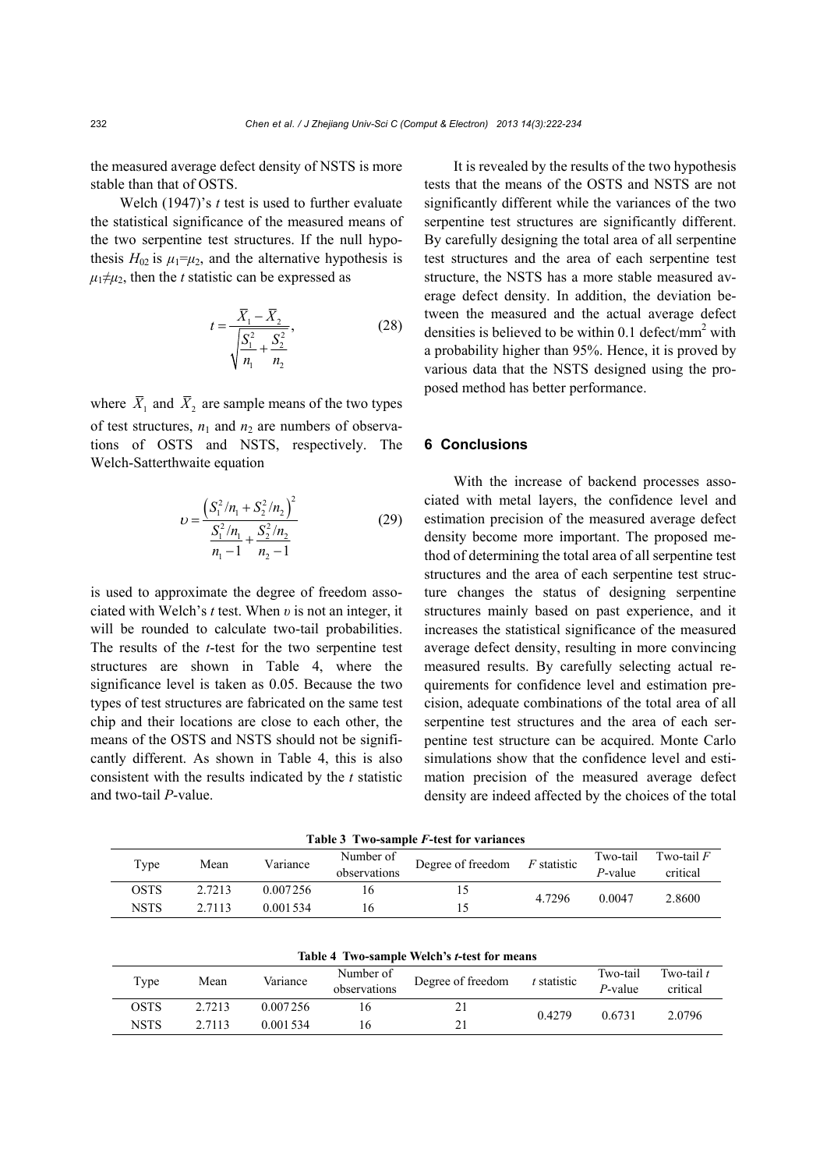the measured average defect density of NSTS is more stable than that of OSTS.

Welch (1947)'s *t* test is used to further evaluate the statistical significance of the measured means of the two serpentine test structures. If the null hypothesis  $H_{02}$  is  $\mu_1 = \mu_2$ , and the alternative hypothesis is  $\mu_1 \neq \mu_2$ , then the *t* statistic can be expressed as

$$
t = \frac{\overline{X}_1 - \overline{X}_2}{\sqrt{\frac{S_1^2}{n_1} + \frac{S_2^2}{n_2}}},
$$
\n(28)

where  $\overline{X}_1$  and  $\overline{X}_2$  are sample means of the two types of test structures,  $n_1$  and  $n_2$  are numbers of observations of OSTS and NSTS, respectively. The Welch-Satterthwaite equation

$$
U = \frac{\left(S_1^2/n_1 + S_2^2/n_2\right)^2}{\frac{S_1^2/n_1}{n_1 - 1} + \frac{S_2^2/n_2}{n_2 - 1}}
$$
(29)

is used to approximate the degree of freedom associated with Welch's *t* test. When *υ* is not an integer, it will be rounded to calculate two-tail probabilities. The results of the *t*-test for the two serpentine test structures are shown in Table 4, where the significance level is taken as 0.05. Because the two types of test structures are fabricated on the same test chip and their locations are close to each other, the means of the OSTS and NSTS should not be significantly different. As shown in Table 4, this is also consistent with the results indicated by the *t* statistic and two-tail *P*-value.

It is revealed by the results of the two hypothesis tests that the means of the OSTS and NSTS are not significantly different while the variances of the two serpentine test structures are significantly different. By carefully designing the total area of all serpentine test structures and the area of each serpentine test structure, the NSTS has a more stable measured average defect density. In addition, the deviation between the measured and the actual average defect densities is believed to be within 0.1 defect/ $mm<sup>2</sup>$  with a probability higher than 95%. Hence, it is proved by various data that the NSTS designed using the proposed method has better performance.

#### **6 Conclusions**

With the increase of backend processes associated with metal layers, the confidence level and estimation precision of the measured average defect density become more important. The proposed method of determining the total area of all serpentine test structures and the area of each serpentine test structure changes the status of designing serpentine structures mainly based on past experience, and it increases the statistical significance of the measured average defect density, resulting in more convincing measured results. By carefully selecting actual requirements for confidence level and estimation precision, adequate combinations of the total area of all serpentine test structures and the area of each serpentine test structure can be acquired. Monte Carlo simulations show that the confidence level and estimation precision of the measured average defect density are indeed affected by the choices of the total

| Table 3 Two-sample F-test for variances |
|-----------------------------------------|
|-----------------------------------------|

| Type | Mean   | Variance  | Number of<br>observations | Degree of freedom | $F$ statistic | Two-tail<br>$P$ -value | Two-tail $F$<br>critical |
|------|--------|-----------|---------------------------|-------------------|---------------|------------------------|--------------------------|
| OSTS | 2.7213 | 0.007256  | ١b                        |                   | 4.7296        | 0.0047                 |                          |
| NSTS | 2.7113 | 0.001.534 | 16                        |                   |               |                        | 2.8600                   |

| Table 4 Two-sample Welch's <i>t</i> -test for means |  |  |
|-----------------------------------------------------|--|--|
|                                                     |  |  |

| Type | Mean   | Variance | Number of<br>observations | Degree of freedom | $t$ statistic | Two-tail<br>$P$ -value | Two-tail $t$<br>critical |  |
|------|--------|----------|---------------------------|-------------------|---------------|------------------------|--------------------------|--|
| OSTS | 2.7213 | 0.007256 |                           | <u> 4</u>         | 0.4279        | 0.6731                 | 2.0796                   |  |
| NSTS | 2.7113 | 0.001534 |                           | 21<br><u> 1</u>   |               |                        |                          |  |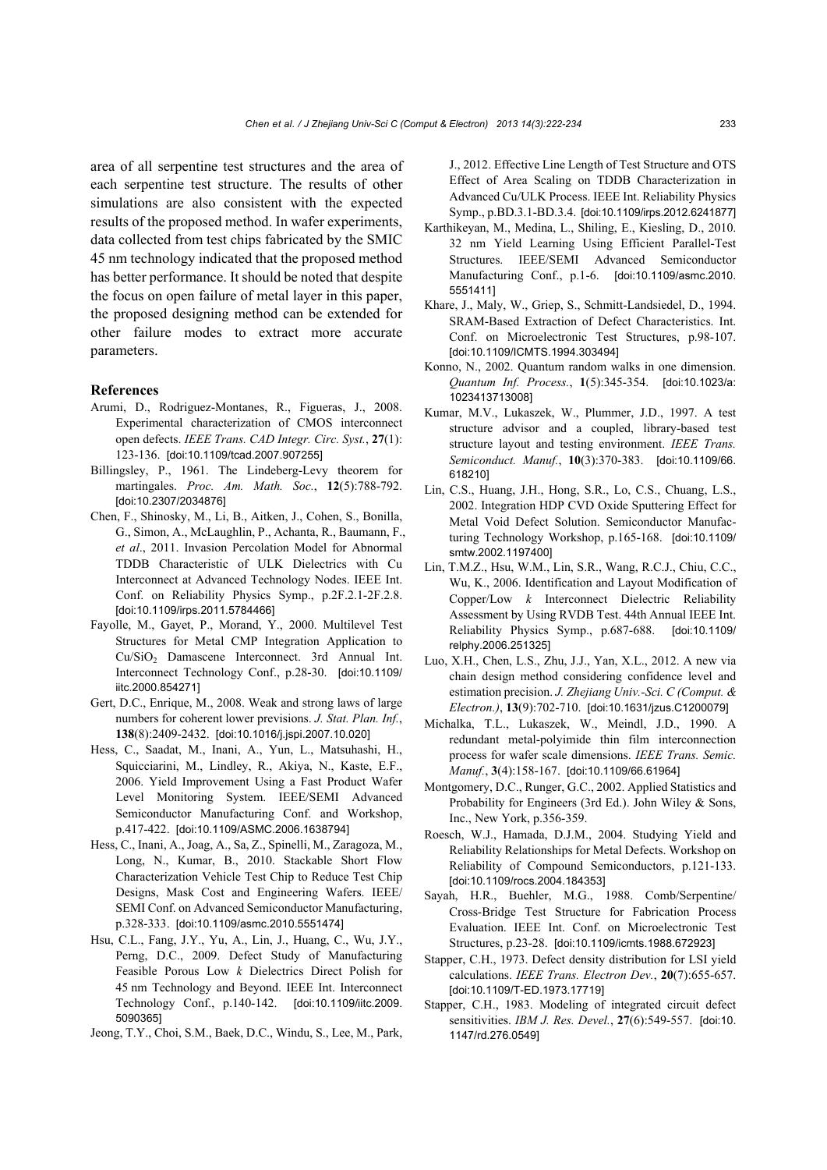area of all serpentine test structures and the area of each serpentine test structure. The results of other simulations are also consistent with the expected results of the proposed method. In wafer experiments, data collected from test chips fabricated by the SMIC 45 nm technology indicated that the proposed method has better performance. It should be noted that despite the focus on open failure of metal layer in this paper, the proposed designing method can be extended for other failure modes to extract more accurate parameters.

#### **References**

- Arumi, D., Rodriguez-Montanes, R., Figueras, J., 2008. Experimental characterization of CMOS interconnect open defects. *IEEE Trans. CAD Integr. Circ. Syst.*, **27**(1): 123-136. [doi:10.1109/tcad.2007.907255]
- Billingsley, P., 1961. The Lindeberg-Levy theorem for martingales. *Proc. Am. Math. Soc.*, **12**(5):788-792. [doi:10.2307/2034876]
- Chen, F., Shinosky, M., Li, B., Aitken, J., Cohen, S., Bonilla, G., Simon, A., McLaughlin, P., Achanta, R., Baumann, F., *et al*., 2011. Invasion Percolation Model for Abnormal TDDB Characteristic of ULK Dielectrics with Cu Interconnect at Advanced Technology Nodes. IEEE Int. Conf. on Reliability Physics Symp., p.2F.2.1-2F.2.8. [doi:10.1109/irps.2011.5784466]
- Fayolle, M., Gayet, P., Morand, Y., 2000. Multilevel Test Structures for Metal CMP Integration Application to Cu/SiO2 Damascene Interconnect. 3rd Annual Int. Interconnect Technology Conf., p.28-30. [doi:10.1109/ iitc.2000.854271]
- Gert, D.C., Enrique, M., 2008. Weak and strong laws of large numbers for coherent lower previsions. *J. Stat. Plan. Inf.*, **138**(8):2409-2432. [doi:10.1016/j.jspi.2007.10.020]
- Hess, C., Saadat, M., Inani, A., Yun, L., Matsuhashi, H., Squicciarini, M., Lindley, R., Akiya, N., Kaste, E.F., 2006. Yield Improvement Using a Fast Product Wafer Level Monitoring System. IEEE/SEMI Advanced Semiconductor Manufacturing Conf. and Workshop, p.417-422. [doi:10.1109/ASMC.2006.1638794]
- Hess, C., Inani, A., Joag, A., Sa, Z., Spinelli, M., Zaragoza, M., Long, N., Kumar, B., 2010. Stackable Short Flow Characterization Vehicle Test Chip to Reduce Test Chip Designs, Mask Cost and Engineering Wafers. IEEE/ SEMI Conf. on Advanced Semiconductor Manufacturing, p.328-333. [doi:10.1109/asmc.2010.5551474]
- Hsu, C.L., Fang, J.Y., Yu, A., Lin, J., Huang, C., Wu, J.Y., Perng, D.C., 2009. Defect Study of Manufacturing Feasible Porous Low *k* Dielectrics Direct Polish for 45 nm Technology and Beyond. IEEE Int. Interconnect Technology Conf., p.140-142. [doi:10.1109/iitc.2009. 5090365]
- Jeong, T.Y., Choi, S.M., Baek, D.C., Windu, S., Lee, M., Park,

J., 2012. Effective Line Length of Test Structure and OTS Effect of Area Scaling on TDDB Characterization in Advanced Cu/ULK Process. IEEE Int. Reliability Physics Symp., p.BD.3.1-BD.3.4. [doi:10.1109/irps.2012.6241877]

- Karthikeyan, M., Medina, L., Shiling, E., Kiesling, D., 2010. 32 nm Yield Learning Using Efficient Parallel-Test Structures. IEEE/SEMI Advanced Semiconductor Manufacturing Conf., p.1-6. [doi:10.1109/asmc.2010. 5551411]
- Khare, J., Maly, W., Griep, S., Schmitt-Landsiedel, D., 1994. SRAM-Based Extraction of Defect Characteristics. Int. Conf. on Microelectronic Test Structures, p.98-107. [doi:10.1109/ICMTS.1994.303494]
- Konno, N., 2002. Quantum random walks in one dimension. *Quantum Inf. Process.*, **1**(5):345-354. [doi:10.1023/a: 1023413713008]
- Kumar, M.V., Lukaszek, W., Plummer, J.D., 1997. A test structure advisor and a coupled, library-based test structure layout and testing environment. *IEEE Trans. Semiconduct. Manuf.*, **10**(3):370-383. [doi:10.1109/66. 618210]
- Lin, C.S., Huang, J.H., Hong, S.R., Lo, C.S., Chuang, L.S., 2002. Integration HDP CVD Oxide Sputtering Effect for Metal Void Defect Solution. Semiconductor Manufacturing Technology Workshop, p.165-168. [doi:10.1109/ smtw.2002.1197400]
- Lin, T.M.Z., Hsu, W.M., Lin, S.R., Wang, R.C.J., Chiu, C.C., Wu, K., 2006. Identification and Layout Modification of Copper/Low *k* Interconnect Dielectric Reliability Assessment by Using RVDB Test. 44th Annual IEEE Int. Reliability Physics Symp., p.687-688. [doi:10.1109/ relphy.2006.251325]
- Luo, X.H., Chen, L.S., Zhu, J.J., Yan, X.L., 2012. A new via chain design method considering confidence level and estimation precision. *J. Zhejiang Univ.-Sci. C (Comput. & Electron.)*, **13**(9):702-710. [doi:10.1631/jzus.C1200079]
- Michalka, T.L., Lukaszek, W., Meindl, J.D., 1990. A redundant metal-polyimide thin film interconnection process for wafer scale dimensions. *IEEE Trans. Semic. Manuf.*, **3**(4):158-167. [doi:10.1109/66.61964]
- Montgomery, D.C., Runger, G.C., 2002. Applied Statistics and Probability for Engineers (3rd Ed.). John Wiley & Sons, Inc., New York, p.356-359.
- Roesch, W.J., Hamada, D.J.M., 2004. Studying Yield and Reliability Relationships for Metal Defects. Workshop on Reliability of Compound Semiconductors, p.121-133. [doi:10.1109/rocs.2004.184353]
- Sayah, H.R., Buehler, M.G., 1988. Comb/Serpentine/ Cross-Bridge Test Structure for Fabrication Process Evaluation. IEEE Int. Conf. on Microelectronic Test Structures, p.23-28. [doi:10.1109/icmts.1988.672923]
- Stapper, C.H., 1973. Defect density distribution for LSI yield calculations. *IEEE Trans. Electron Dev.*, **20**(7):655-657. [doi:10.1109/T-ED.1973.17719]
- Stapper, C.H., 1983. Modeling of integrated circuit defect sensitivities. *IBM J. Res. Devel.*, **27**(6):549-557. [doi:10. 1147/rd.276.0549]